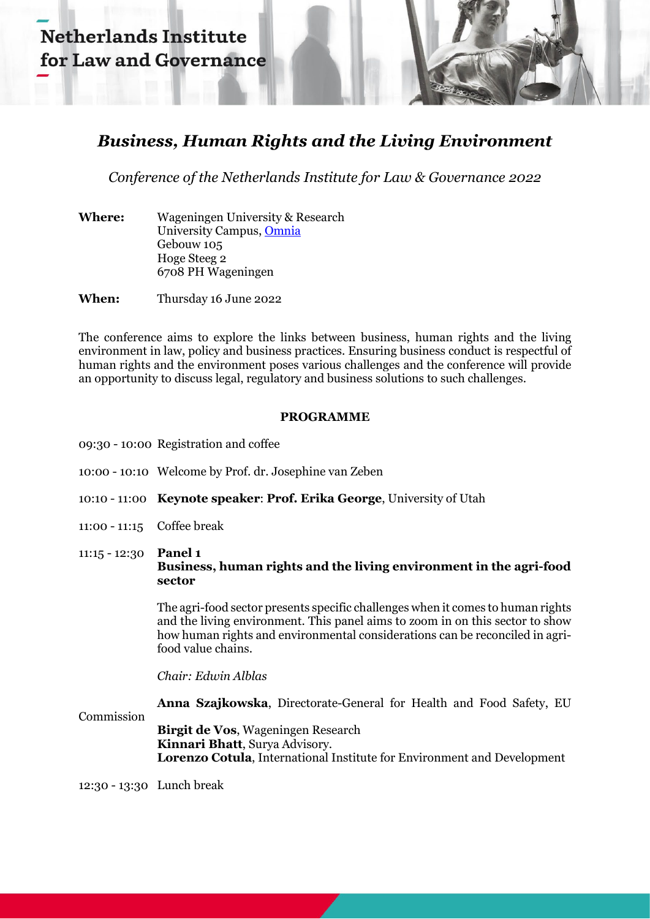## Netherlands Institute for Law and Governance

### *Business, Human Rights and the Living Environment*

*Conference of the Netherlands Institute for Law & Governance 2022*

**Where:** Wageningen University & Research University Campus, [Omnia](https://www.wur.nl/en/Value-Creation-Cooperation/Collaborating-with-WUR-1/In-dialogue-finding-answers-together/Omnia/About-Omnia.htm) Gebouw 105 Hoge Steeg 2 6708 PH Wageningen

**When:** Thursday 16 June 2022

The conference aims to explore the links between business, human rights and the living environment in law, policy and business practices. Ensuring business conduct is respectful of human rights and the environment poses various challenges and the conference will provide an opportunity to discuss legal, regulatory and business solutions to such challenges.

#### **PROGRAMME**

- 09:30 10:00 Registration and coffee
- 10:00 10:10 Welcome by Prof. dr. Josephine van Zeben
- 10:10 11:00 **Keynote speaker**: **Prof. Erika George**, University of Utah
- 11:00 11:15 Coffee break
- 11:15 12:30 **Panel 1 Business, human rights and the living environment in the agri-food sector**

The agri-food sector presents specific challenges when it comes to human rights and the living environment. This panel aims to zoom in on this sector to show how human rights and environmental considerations can be reconciled in agrifood value chains.

*Chair: Edwin Alblas*

**Anna Szajkowska**, Directorate-General for Health and Food Safety, EU

Commission

**Birgit de Vos**, Wageningen Research **Kinnari Bhatt**, Surya Advisory. **Lorenzo Cotula**, International Institute for Environment and Development

12:30 - 13:30 Lunch break